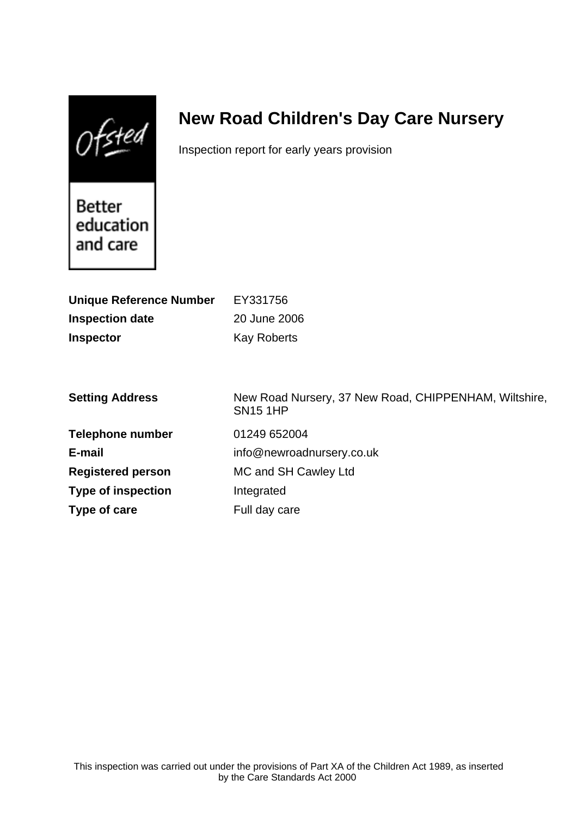$0$ fsted

# **New Road Children's Day Care Nursery**

Inspection report for early years provision

Better education and care

| <b>Unique Reference Number</b><br><b>Inspection date</b><br><b>Inspector</b> | EY331756<br>20 June 2006<br><b>Kay Roberts</b>                           |
|------------------------------------------------------------------------------|--------------------------------------------------------------------------|
| <b>Setting Address</b>                                                       | New Road Nursery, 37 New Road, CHIPPENHAM, Wiltshire,<br><b>SN15 1HP</b> |
| <b>Telephone number</b>                                                      | 01249 652004                                                             |
| E-mail                                                                       | info@newroadnursery.co.uk                                                |
| <b>Registered person</b>                                                     | MC and SH Cawley Ltd                                                     |
| <b>Type of inspection</b>                                                    | Integrated                                                               |
| Type of care                                                                 | Full day care                                                            |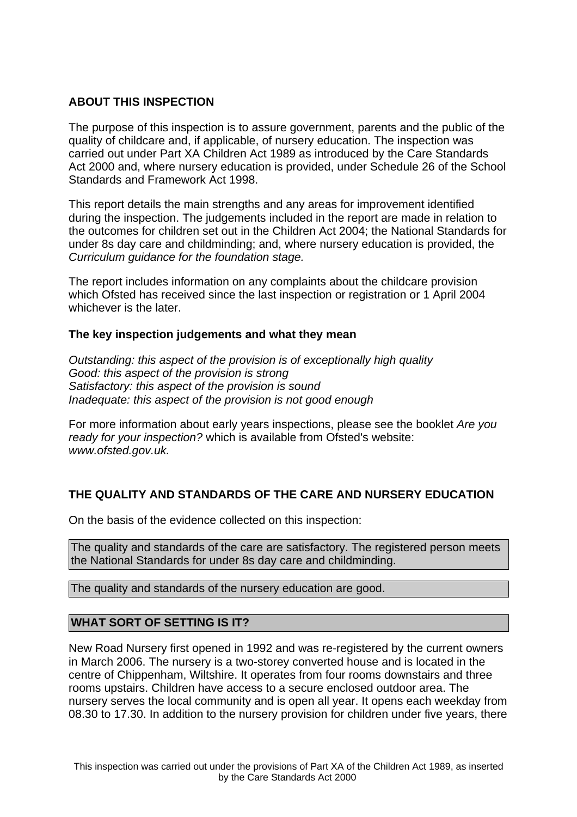# **ABOUT THIS INSPECTION**

The purpose of this inspection is to assure government, parents and the public of the quality of childcare and, if applicable, of nursery education. The inspection was carried out under Part XA Children Act 1989 as introduced by the Care Standards Act 2000 and, where nursery education is provided, under Schedule 26 of the School Standards and Framework Act 1998.

This report details the main strengths and any areas for improvement identified during the inspection. The judgements included in the report are made in relation to the outcomes for children set out in the Children Act 2004; the National Standards for under 8s day care and childminding; and, where nursery education is provided, the Curriculum guidance for the foundation stage.

The report includes information on any complaints about the childcare provision which Ofsted has received since the last inspection or registration or 1 April 2004 whichever is the later.

## **The key inspection judgements and what they mean**

Outstanding: this aspect of the provision is of exceptionally high quality Good: this aspect of the provision is strong Satisfactory: this aspect of the provision is sound Inadequate: this aspect of the provision is not good enough

For more information about early years inspections, please see the booklet Are you ready for your inspection? which is available from Ofsted's website: www.ofsted.gov.uk.

# **THE QUALITY AND STANDARDS OF THE CARE AND NURSERY EDUCATION**

On the basis of the evidence collected on this inspection:

The quality and standards of the care are satisfactory. The registered person meets the National Standards for under 8s day care and childminding.

The quality and standards of the nursery education are good.

## **WHAT SORT OF SETTING IS IT?**

New Road Nursery first opened in 1992 and was re-registered by the current owners in March 2006. The nursery is a two-storey converted house and is located in the centre of Chippenham, Wiltshire. It operates from four rooms downstairs and three rooms upstairs. Children have access to a secure enclosed outdoor area. The nursery serves the local community and is open all year. It opens each weekday from 08.30 to 17.30. In addition to the nursery provision for children under five years, there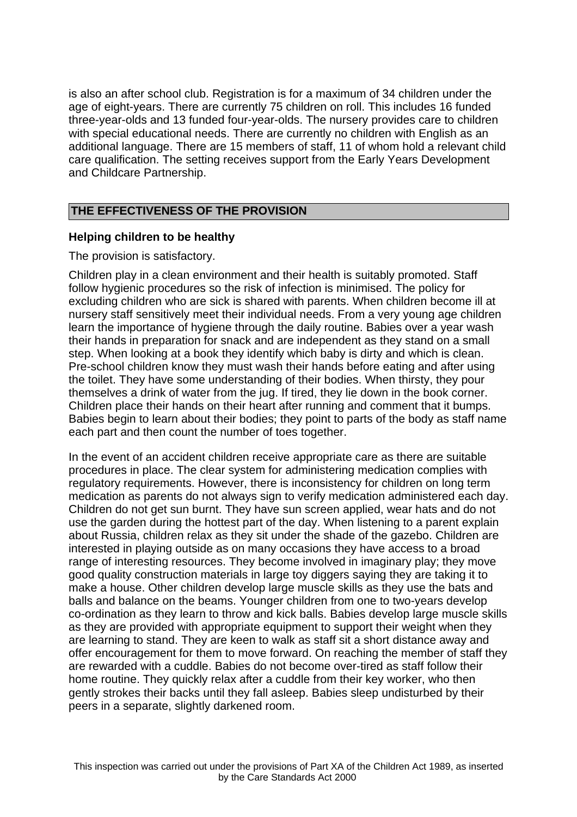is also an after school club. Registration is for a maximum of 34 children under the age of eight-years. There are currently 75 children on roll. This includes 16 funded three-year-olds and 13 funded four-year-olds. The nursery provides care to children with special educational needs. There are currently no children with English as an additional language. There are 15 members of staff, 11 of whom hold a relevant child care qualification. The setting receives support from the Early Years Development and Childcare Partnership.

# **THE EFFECTIVENESS OF THE PROVISION**

## **Helping children to be healthy**

The provision is satisfactory.

Children play in a clean environment and their health is suitably promoted. Staff follow hygienic procedures so the risk of infection is minimised. The policy for excluding children who are sick is shared with parents. When children become ill at nursery staff sensitively meet their individual needs. From a very young age children learn the importance of hygiene through the daily routine. Babies over a year wash their hands in preparation for snack and are independent as they stand on a small step. When looking at a book they identify which baby is dirty and which is clean. Pre-school children know they must wash their hands before eating and after using the toilet. They have some understanding of their bodies. When thirsty, they pour themselves a drink of water from the jug. If tired, they lie down in the book corner. Children place their hands on their heart after running and comment that it bumps. Babies begin to learn about their bodies; they point to parts of the body as staff name each part and then count the number of toes together.

In the event of an accident children receive appropriate care as there are suitable procedures in place. The clear system for administering medication complies with regulatory requirements. However, there is inconsistency for children on long term medication as parents do not always sign to verify medication administered each day. Children do not get sun burnt. They have sun screen applied, wear hats and do not use the garden during the hottest part of the day. When listening to a parent explain about Russia, children relax as they sit under the shade of the gazebo. Children are interested in playing outside as on many occasions they have access to a broad range of interesting resources. They become involved in imaginary play; they move good quality construction materials in large toy diggers saying they are taking it to make a house. Other children develop large muscle skills as they use the bats and balls and balance on the beams. Younger children from one to two-years develop co-ordination as they learn to throw and kick balls. Babies develop large muscle skills as they are provided with appropriate equipment to support their weight when they are learning to stand. They are keen to walk as staff sit a short distance away and offer encouragement for them to move forward. On reaching the member of staff they are rewarded with a cuddle. Babies do not become over-tired as staff follow their home routine. They quickly relax after a cuddle from their key worker, who then gently strokes their backs until they fall asleep. Babies sleep undisturbed by their peers in a separate, slightly darkened room.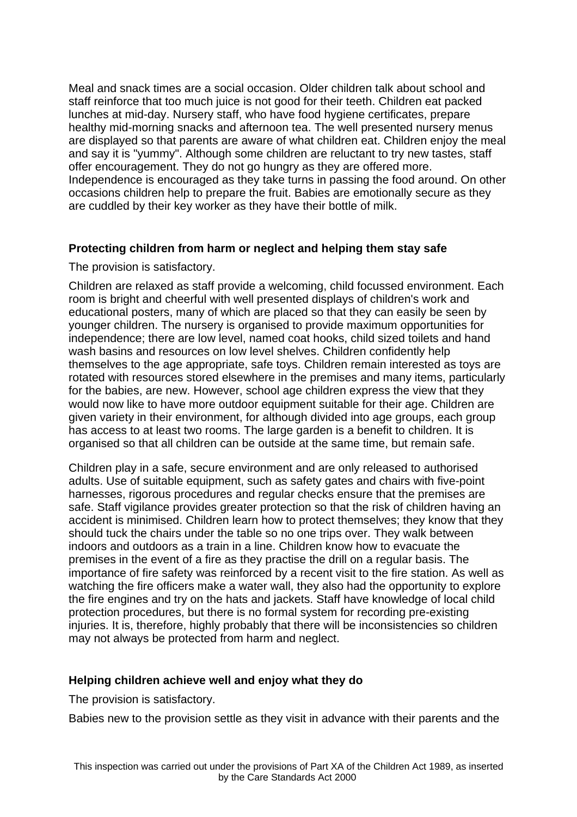Meal and snack times are a social occasion. Older children talk about school and staff reinforce that too much juice is not good for their teeth. Children eat packed lunches at mid-day. Nursery staff, who have food hygiene certificates, prepare healthy mid-morning snacks and afternoon tea. The well presented nursery menus are displayed so that parents are aware of what children eat. Children enjoy the meal and say it is "yummy". Although some children are reluctant to try new tastes, staff offer encouragement. They do not go hungry as they are offered more. Independence is encouraged as they take turns in passing the food around. On other occasions children help to prepare the fruit. Babies are emotionally secure as they are cuddled by their key worker as they have their bottle of milk.

# **Protecting children from harm or neglect and helping them stay safe**

The provision is satisfactory.

Children are relaxed as staff provide a welcoming, child focussed environment. Each room is bright and cheerful with well presented displays of children's work and educational posters, many of which are placed so that they can easily be seen by younger children. The nursery is organised to provide maximum opportunities for independence; there are low level, named coat hooks, child sized toilets and hand wash basins and resources on low level shelves. Children confidently help themselves to the age appropriate, safe toys. Children remain interested as toys are rotated with resources stored elsewhere in the premises and many items, particularly for the babies, are new. However, school age children express the view that they would now like to have more outdoor equipment suitable for their age. Children are given variety in their environment, for although divided into age groups, each group has access to at least two rooms. The large garden is a benefit to children. It is organised so that all children can be outside at the same time, but remain safe.

Children play in a safe, secure environment and are only released to authorised adults. Use of suitable equipment, such as safety gates and chairs with five-point harnesses, rigorous procedures and regular checks ensure that the premises are safe. Staff vigilance provides greater protection so that the risk of children having an accident is minimised. Children learn how to protect themselves; they know that they should tuck the chairs under the table so no one trips over. They walk between indoors and outdoors as a train in a line. Children know how to evacuate the premises in the event of a fire as they practise the drill on a regular basis. The importance of fire safety was reinforced by a recent visit to the fire station. As well as watching the fire officers make a water wall, they also had the opportunity to explore the fire engines and try on the hats and jackets. Staff have knowledge of local child protection procedures, but there is no formal system for recording pre-existing injuries. It is, therefore, highly probably that there will be inconsistencies so children may not always be protected from harm and neglect.

# **Helping children achieve well and enjoy what they do**

The provision is satisfactory.

Babies new to the provision settle as they visit in advance with their parents and the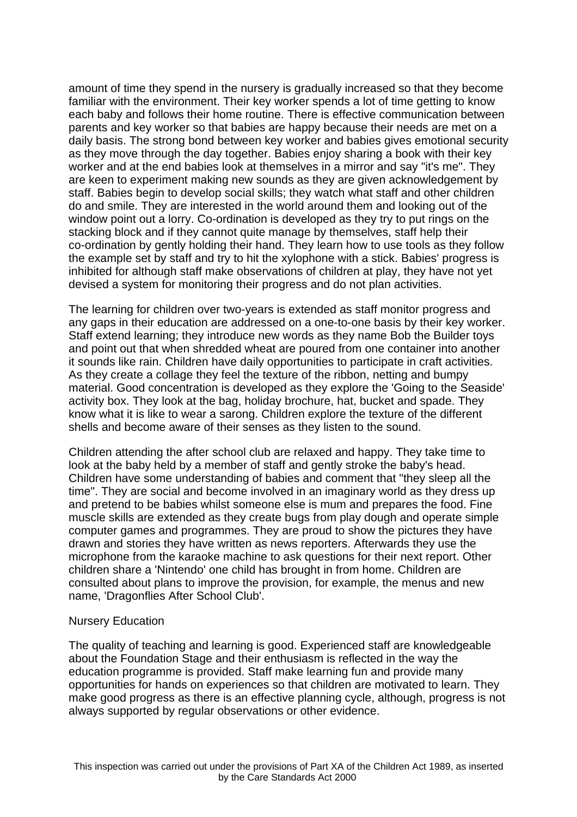amount of time they spend in the nursery is gradually increased so that they become familiar with the environment. Their key worker spends a lot of time getting to know each baby and follows their home routine. There is effective communication between parents and key worker so that babies are happy because their needs are met on a daily basis. The strong bond between key worker and babies gives emotional security as they move through the day together. Babies enjoy sharing a book with their key worker and at the end babies look at themselves in a mirror and say "it's me". They are keen to experiment making new sounds as they are given acknowledgement by staff. Babies begin to develop social skills; they watch what staff and other children do and smile. They are interested in the world around them and looking out of the window point out a lorry. Co-ordination is developed as they try to put rings on the stacking block and if they cannot quite manage by themselves, staff help their co-ordination by gently holding their hand. They learn how to use tools as they follow the example set by staff and try to hit the xylophone with a stick. Babies' progress is inhibited for although staff make observations of children at play, they have not yet devised a system for monitoring their progress and do not plan activities.

The learning for children over two-years is extended as staff monitor progress and any gaps in their education are addressed on a one-to-one basis by their key worker. Staff extend learning; they introduce new words as they name Bob the Builder toys and point out that when shredded wheat are poured from one container into another it sounds like rain. Children have daily opportunities to participate in craft activities. As they create a collage they feel the texture of the ribbon, netting and bumpy material. Good concentration is developed as they explore the 'Going to the Seaside' activity box. They look at the bag, holiday brochure, hat, bucket and spade. They know what it is like to wear a sarong. Children explore the texture of the different shells and become aware of their senses as they listen to the sound.

Children attending the after school club are relaxed and happy. They take time to look at the baby held by a member of staff and gently stroke the baby's head. Children have some understanding of babies and comment that "they sleep all the time". They are social and become involved in an imaginary world as they dress up and pretend to be babies whilst someone else is mum and prepares the food. Fine muscle skills are extended as they create bugs from play dough and operate simple computer games and programmes. They are proud to show the pictures they have drawn and stories they have written as news reporters. Afterwards they use the microphone from the karaoke machine to ask questions for their next report. Other children share a 'Nintendo' one child has brought in from home. Children are consulted about plans to improve the provision, for example, the menus and new name, 'Dragonflies After School Club'.

#### Nursery Education

The quality of teaching and learning is good. Experienced staff are knowledgeable about the Foundation Stage and their enthusiasm is reflected in the way the education programme is provided. Staff make learning fun and provide many opportunities for hands on experiences so that children are motivated to learn. They make good progress as there is an effective planning cycle, although, progress is not always supported by regular observations or other evidence.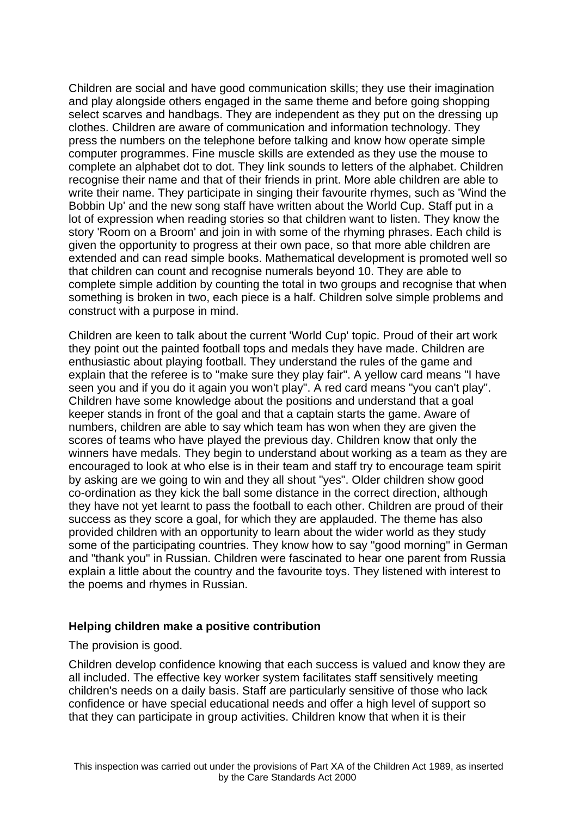Children are social and have good communication skills; they use their imagination and play alongside others engaged in the same theme and before going shopping select scarves and handbags. They are independent as they put on the dressing up clothes. Children are aware of communication and information technology. They press the numbers on the telephone before talking and know how operate simple computer programmes. Fine muscle skills are extended as they use the mouse to complete an alphabet dot to dot. They link sounds to letters of the alphabet. Children recognise their name and that of their friends in print. More able children are able to write their name. They participate in singing their favourite rhymes, such as 'Wind the Bobbin Up' and the new song staff have written about the World Cup. Staff put in a lot of expression when reading stories so that children want to listen. They know the story 'Room on a Broom' and join in with some of the rhyming phrases. Each child is given the opportunity to progress at their own pace, so that more able children are extended and can read simple books. Mathematical development is promoted well so that children can count and recognise numerals beyond 10. They are able to complete simple addition by counting the total in two groups and recognise that when something is broken in two, each piece is a half. Children solve simple problems and construct with a purpose in mind.

Children are keen to talk about the current 'World Cup' topic. Proud of their art work they point out the painted football tops and medals they have made. Children are enthusiastic about playing football. They understand the rules of the game and explain that the referee is to "make sure they play fair". A yellow card means "I have seen you and if you do it again you won't play". A red card means "you can't play". Children have some knowledge about the positions and understand that a goal keeper stands in front of the goal and that a captain starts the game. Aware of numbers, children are able to say which team has won when they are given the scores of teams who have played the previous day. Children know that only the winners have medals. They begin to understand about working as a team as they are encouraged to look at who else is in their team and staff try to encourage team spirit by asking are we going to win and they all shout "yes". Older children show good co-ordination as they kick the ball some distance in the correct direction, although they have not yet learnt to pass the football to each other. Children are proud of their success as they score a goal, for which they are applauded. The theme has also provided children with an opportunity to learn about the wider world as they study some of the participating countries. They know how to say "good morning" in German and "thank you" in Russian. Children were fascinated to hear one parent from Russia explain a little about the country and the favourite toys. They listened with interest to the poems and rhymes in Russian.

## **Helping children make a positive contribution**

#### The provision is good.

Children develop confidence knowing that each success is valued and know they are all included. The effective key worker system facilitates staff sensitively meeting children's needs on a daily basis. Staff are particularly sensitive of those who lack confidence or have special educational needs and offer a high level of support so that they can participate in group activities. Children know that when it is their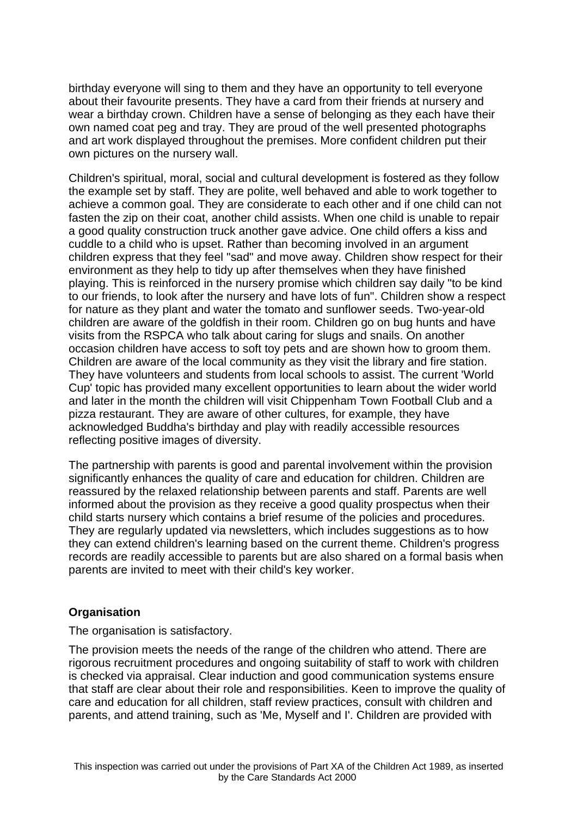birthday everyone will sing to them and they have an opportunity to tell everyone about their favourite presents. They have a card from their friends at nursery and wear a birthday crown. Children have a sense of belonging as they each have their own named coat peg and tray. They are proud of the well presented photographs and art work displayed throughout the premises. More confident children put their own pictures on the nursery wall.

Children's spiritual, moral, social and cultural development is fostered as they follow the example set by staff. They are polite, well behaved and able to work together to achieve a common goal. They are considerate to each other and if one child can not fasten the zip on their coat, another child assists. When one child is unable to repair a good quality construction truck another gave advice. One child offers a kiss and cuddle to a child who is upset. Rather than becoming involved in an argument children express that they feel "sad" and move away. Children show respect for their environment as they help to tidy up after themselves when they have finished playing. This is reinforced in the nursery promise which children say daily "to be kind to our friends, to look after the nursery and have lots of fun". Children show a respect for nature as they plant and water the tomato and sunflower seeds. Two-year-old children are aware of the goldfish in their room. Children go on bug hunts and have visits from the RSPCA who talk about caring for slugs and snails. On another occasion children have access to soft toy pets and are shown how to groom them. Children are aware of the local community as they visit the library and fire station. They have volunteers and students from local schools to assist. The current 'World Cup' topic has provided many excellent opportunities to learn about the wider world and later in the month the children will visit Chippenham Town Football Club and a pizza restaurant. They are aware of other cultures, for example, they have acknowledged Buddha's birthday and play with readily accessible resources reflecting positive images of diversity.

The partnership with parents is good and parental involvement within the provision significantly enhances the quality of care and education for children. Children are reassured by the relaxed relationship between parents and staff. Parents are well informed about the provision as they receive a good quality prospectus when their child starts nursery which contains a brief resume of the policies and procedures. They are regularly updated via newsletters, which includes suggestions as to how they can extend children's learning based on the current theme. Children's progress records are readily accessible to parents but are also shared on a formal basis when parents are invited to meet with their child's key worker.

## **Organisation**

The organisation is satisfactory.

The provision meets the needs of the range of the children who attend. There are rigorous recruitment procedures and ongoing suitability of staff to work with children is checked via appraisal. Clear induction and good communication systems ensure that staff are clear about their role and responsibilities. Keen to improve the quality of care and education for all children, staff review practices, consult with children and parents, and attend training, such as 'Me, Myself and I'. Children are provided with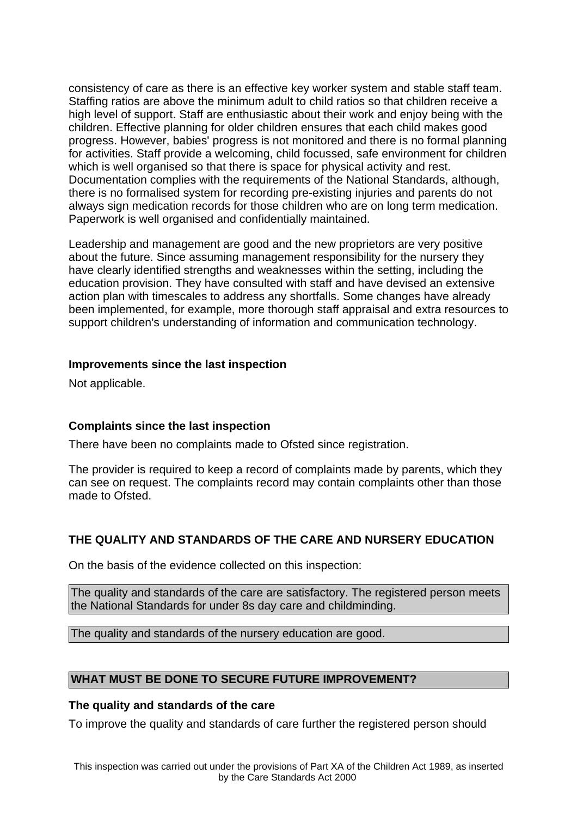consistency of care as there is an effective key worker system and stable staff team. Staffing ratios are above the minimum adult to child ratios so that children receive a high level of support. Staff are enthusiastic about their work and enjoy being with the children. Effective planning for older children ensures that each child makes good progress. However, babies' progress is not monitored and there is no formal planning for activities. Staff provide a welcoming, child focussed, safe environment for children which is well organised so that there is space for physical activity and rest. Documentation complies with the requirements of the National Standards, although, there is no formalised system for recording pre-existing injuries and parents do not always sign medication records for those children who are on long term medication. Paperwork is well organised and confidentially maintained.

Leadership and management are good and the new proprietors are very positive about the future. Since assuming management responsibility for the nursery they have clearly identified strengths and weaknesses within the setting, including the education provision. They have consulted with staff and have devised an extensive action plan with timescales to address any shortfalls. Some changes have already been implemented, for example, more thorough staff appraisal and extra resources to support children's understanding of information and communication technology.

## **Improvements since the last inspection**

Not applicable.

## **Complaints since the last inspection**

There have been no complaints made to Ofsted since registration.

The provider is required to keep a record of complaints made by parents, which they can see on request. The complaints record may contain complaints other than those made to Ofsted.

## **THE QUALITY AND STANDARDS OF THE CARE AND NURSERY EDUCATION**

On the basis of the evidence collected on this inspection:

The quality and standards of the care are satisfactory. The registered person meets the National Standards for under 8s day care and childminding.

The quality and standards of the nursery education are good.

## **WHAT MUST BE DONE TO SECURE FUTURE IMPROVEMENT?**

#### **The quality and standards of the care**

To improve the quality and standards of care further the registered person should